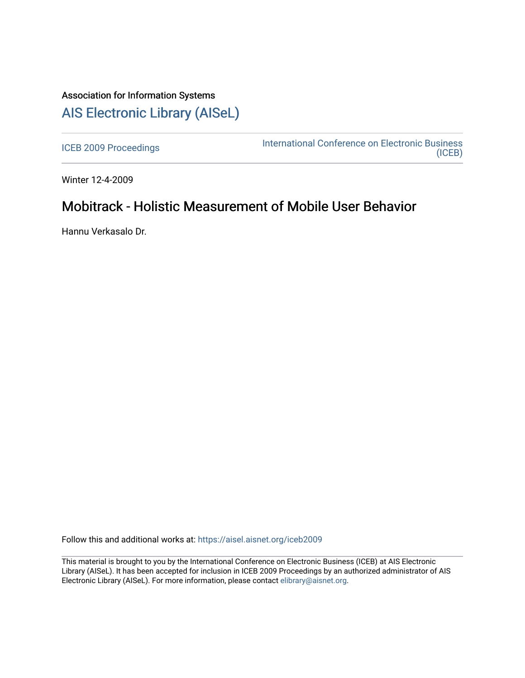# Association for Information Systems [AIS Electronic Library \(AISeL\)](https://aisel.aisnet.org/)

[ICEB 2009 Proceedings](https://aisel.aisnet.org/iceb2009) **International Conference on Electronic Business** [\(ICEB\)](https://aisel.aisnet.org/iceb) 

Winter 12-4-2009

# Mobitrack - Holistic Measurement of Mobile User Behavior

Hannu Verkasalo Dr.

Follow this and additional works at: [https://aisel.aisnet.org/iceb2009](https://aisel.aisnet.org/iceb2009?utm_source=aisel.aisnet.org%2Ficeb2009%2F111&utm_medium=PDF&utm_campaign=PDFCoverPages)

This material is brought to you by the International Conference on Electronic Business (ICEB) at AIS Electronic Library (AISeL). It has been accepted for inclusion in ICEB 2009 Proceedings by an authorized administrator of AIS Electronic Library (AISeL). For more information, please contact [elibrary@aisnet.org.](mailto:elibrary@aisnet.org%3E)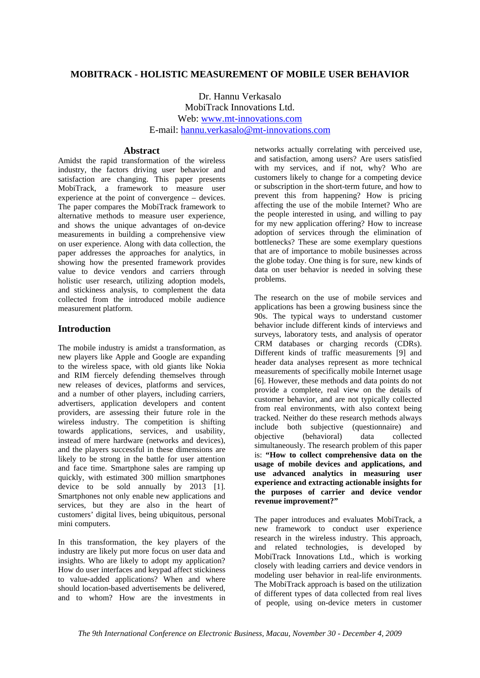# **MOBITRACK - HOLISTIC MEASUREMENT OF MOBILE USER BEHAVIOR**

Dr. Hannu Verkasalo MobiTrack Innovations Ltd. Web: www.mt-innovations.com E-mail: hannu.verkasalo@mt-innovations.com

## **Abstract**

Amidst the rapid transformation of the wireless industry, the factors driving user behavior and satisfaction are changing. This paper presents MobiTrack, a framework to measure user experience at the point of convergence – devices. The paper compares the MobiTrack framework to alternative methods to measure user experience, and shows the unique advantages of on-device measurements in building a comprehensive view on user experience. Along with data collection, the paper addresses the approaches for analytics, in showing how the presented framework provides value to device vendors and carriers through holistic user research, utilizing adoption models, and stickiness analysis, to complement the data collected from the introduced mobile audience measurement platform.

## **Introduction**

The mobile industry is amidst a transformation, as new players like Apple and Google are expanding to the wireless space, with old giants like Nokia and RIM fiercely defending themselves through new releases of devices, platforms and services, and a number of other players, including carriers, advertisers, application developers and content providers, are assessing their future role in the wireless industry. The competition is shifting towards applications, services, and usability, instead of mere hardware (networks and devices), and the players successful in these dimensions are likely to be strong in the battle for user attention and face time. Smartphone sales are ramping up quickly, with estimated 300 million smartphones device to be sold annually by 2013 [1]. Smartphones not only enable new applications and services, but they are also in the heart of customers' digital lives, being ubiquitous, personal mini computers.

In this transformation, the key players of the industry are likely put more focus on user data and insights. Who are likely to adopt my application? How do user interfaces and keypad affect stickiness to value-added applications? When and where should location-based advertisements be delivered, and to whom? How are the investments in

networks actually correlating with perceived use, and satisfaction, among users? Are users satisfied with my services, and if not, why? Who are customers likely to change for a competing device or subscription in the short-term future, and how to prevent this from happening? How is pricing affecting the use of the mobile Internet? Who are the people interested in using, and willing to pay for my new application offering? How to increase adoption of services through the elimination of bottlenecks? These are some exemplary questions that are of importance to mobile businesses across the globe today. One thing is for sure, new kinds of data on user behavior is needed in solving these problems.

The research on the use of mobile services and applications has been a growing business since the 90s. The typical ways to understand customer behavior include different kinds of interviews and surveys, laboratory tests, and analysis of operator CRM databases or charging records (CDRs). Different kinds of traffic measurements [9] and header data analyses represent as more technical measurements of specifically mobile Internet usage [6]. However, these methods and data points do not provide a complete, real view on the details of customer behavior, and are not typically collected from real environments, with also context being tracked. Neither do these research methods always include both subjective (questionnaire) and objective (behavioral) data collected simultaneously. The research problem of this paper is: **"How to collect comprehensive data on the usage of mobile devices and applications, and use advanced analytics in measuring user experience and extracting actionable insights for the purposes of carrier and device vendor revenue improvement?"** 

The paper introduces and evaluates MobiTrack, a new framework to conduct user experience research in the wireless industry. This approach, and related technologies, is developed by MobiTrack Innovations Ltd., which is working closely with leading carriers and device vendors in modeling user behavior in real-life environments. The MobiTrack approach is based on the utilization of different types of data collected from real lives of people, using on-device meters in customer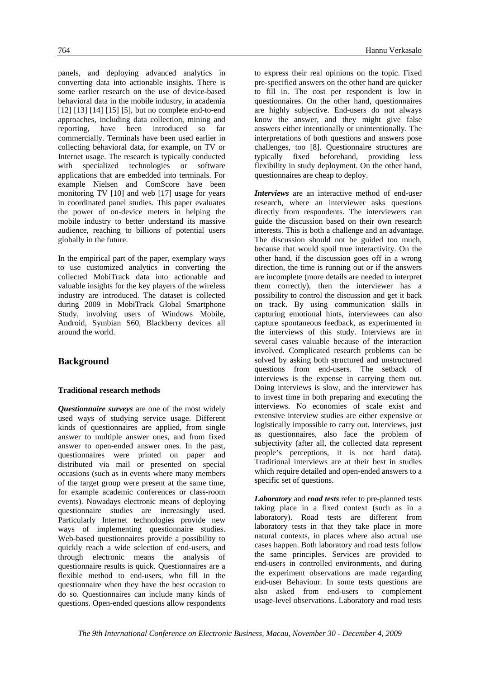panels, and deploying advanced analytics in converting data into actionable insights. There is some earlier research on the use of device-based behavioral data in the mobile industry, in academia [12] [13] [14] [15] [5], but no complete end-to-end approaches, including data collection, mining and reporting, have been introduced so far commercially. Terminals have been used earlier in collecting behavioral data, for example, on TV or Internet usage. The research is typically conducted with specialized technologies or software applications that are embedded into terminals. For example Nielsen and ComScore have been monitoring TV [10] and web [17] usage for years in coordinated panel studies. This paper evaluates the power of on-device meters in helping the mobile industry to better understand its massive audience, reaching to billions of potential users globally in the future.

In the empirical part of the paper, exemplary ways to use customized analytics in converting the collected MobiTrack data into actionable and valuable insights for the key players of the wireless industry are introduced. The dataset is collected during 2009 in MobiTrack Global Smartphone Study, involving users of Windows Mobile, Android, Symbian S60, Blackberry devices all around the world.

# **Background**

## **Traditional research methods**

*Questionnaire surveys* are one of the most widely used ways of studying service usage. Different kinds of questionnaires are applied, from single answer to multiple answer ones, and from fixed answer to open-ended answer ones. In the past, questionnaires were printed on paper and distributed via mail or presented on special occasions (such as in events where many members of the target group were present at the same time, for example academic conferences or class-room events). Nowadays electronic means of deploying questionnaire studies are increasingly used. Particularly Internet technologies provide new ways of implementing questionnaire studies. Web-based questionnaires provide a possibility to quickly reach a wide selection of end-users, and through electronic means the analysis of questionnaire results is quick. Questionnaires are a flexible method to end-users, who fill in the questionnaire when they have the best occasion to do so. Questionnaires can include many kinds of questions. Open-ended questions allow respondents

to express their real opinions on the topic. Fixed pre-specified answers on the other hand are quicker to fill in. The cost per respondent is low in questionnaires. On the other hand, questionnaires are highly subjective. End-users do not always know the answer, and they might give false answers either intentionally or unintentionally. The interpretations of both questions and answers pose challenges, too [8]. Questionnaire structures are typically fixed beforehand, providing less flexibility in study deployment. On the other hand, questionnaires are cheap to deploy.

*Interviews* are an interactive method of end-user research, where an interviewer asks questions directly from respondents. The interviewers can guide the discussion based on their own research interests. This is both a challenge and an advantage. The discussion should not be guided too much, because that would spoil true interactivity. On the other hand, if the discussion goes off in a wrong direction, the time is running out or if the answers are incomplete (more details are needed to interpret them correctly), then the interviewer has a possibility to control the discussion and get it back on track. By using communication skills in capturing emotional hints, interviewees can also capture spontaneous feedback, as experimented in the interviews of this study. Interviews are in several cases valuable because of the interaction involved. Complicated research problems can be solved by asking both structured and unstructured questions from end-users. The setback of interviews is the expense in carrying them out. Doing interviews is slow, and the interviewer has to invest time in both preparing and executing the interviews. No economies of scale exist and extensive interview studies are either expensive or logistically impossible to carry out. Interviews, just as questionnaires, also face the problem of subjectivity (after all, the collected data represent people's perceptions, it is not hard data). Traditional interviews are at their best in studies which require detailed and open-ended answers to a specific set of questions.

*Laboratory* and *road tests* refer to pre-planned tests taking place in a fixed context (such as in a laboratory). Road tests are different from laboratory tests in that they take place in more natural contexts, in places where also actual use cases happen. Both laboratory and road tests follow the same principles. Services are provided to end-users in controlled environments, and during the experiment observations are made regarding end-user Behaviour. In some tests questions are also asked from end-users to complement usage-level observations. Laboratory and road tests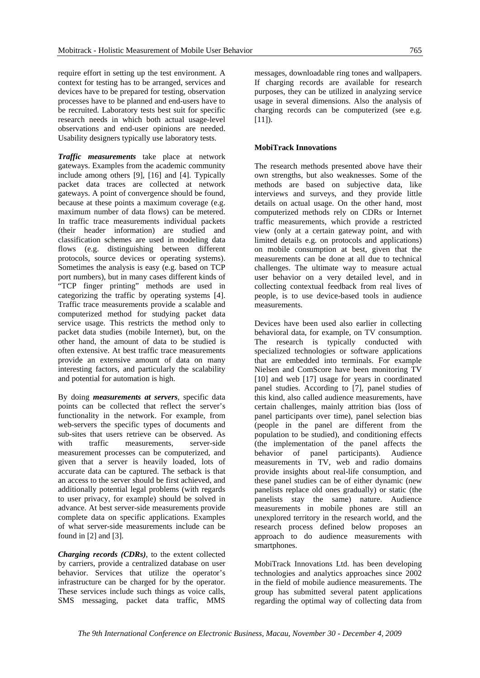require effort in setting up the test environment. A context for testing has to be arranged, services and devices have to be prepared for testing, observation processes have to be planned and end-users have to be recruited. Laboratory tests best suit for specific research needs in which both actual usage-level observations and end-user opinions are needed. Usability designers typically use laboratory tests.

*Traffic measurements* take place at network gateways. Examples from the academic community include among others [9], [16] and [4]. Typically packet data traces are collected at network gateways. A point of convergence should be found, because at these points a maximum coverage (e.g. maximum number of data flows) can be metered. In traffic trace measurements individual packets (their header information) are studied and classification schemes are used in modeling data flows (e.g. distinguishing between different protocols, source devices or operating systems). Sometimes the analysis is easy (e.g. based on TCP port numbers), but in many cases different kinds of "TCP finger printing" methods are used in categorizing the traffic by operating systems [4]. Traffic trace measurements provide a scalable and computerized method for studying packet data service usage. This restricts the method only to packet data studies (mobile Internet), but, on the other hand, the amount of data to be studied is often extensive. At best traffic trace measurements provide an extensive amount of data on many interesting factors, and particularly the scalability and potential for automation is high.

By doing *measurements at servers*, specific data points can be collected that reflect the server's functionality in the network. For example, from web-servers the specific types of documents and sub-sites that users retrieve can be observed. As with traffic measurements, server-side measurement processes can be computerized, and given that a server is heavily loaded, lots of accurate data can be captured. The setback is that an access to the server should be first achieved, and additionally potential legal problems (with regards to user privacy, for example) should be solved in advance. At best server-side measurements provide complete data on specific applications. Examples of what server-side measurements include can be found in [2] and [3].

*Charging records (CDRs)*, to the extent collected by carriers, provide a centralized database on user behavior. Services that utilize the operator's infrastructure can be charged for by the operator. These services include such things as voice calls, SMS messaging, packet data traffic, MMS

messages, downloadable ring tones and wallpapers. If charging records are available for research purposes, they can be utilized in analyzing service usage in several dimensions. Also the analysis of charging records can be computerized (see e.g. [11]).

### **MobiTrack Innovations**

The research methods presented above have their own strengths, but also weaknesses. Some of the methods are based on subjective data, like interviews and surveys, and they provide little details on actual usage. On the other hand, most computerized methods rely on CDRs or Internet traffic measurements, which provide a restricted view (only at a certain gateway point, and with limited details e.g. on protocols and applications) on mobile consumption at best, given that the measurements can be done at all due to technical challenges. The ultimate way to measure actual user behavior on a very detailed level, and in collecting contextual feedback from real lives of people, is to use device-based tools in audience measurements.

Devices have been used also earlier in collecting behavioral data, for example, on TV consumption. The research is typically conducted with specialized technologies or software applications that are embedded into terminals. For example Nielsen and ComScore have been monitoring TV [10] and web [17] usage for years in coordinated panel studies. According to [7], panel studies of this kind, also called audience measurements, have certain challenges, mainly attrition bias (loss of panel participants over time), panel selection bias (people in the panel are different from the population to be studied), and conditioning effects (the implementation of the panel affects the behavior of panel participants). Audience measurements in TV, web and radio domains provide insights about real-life consumption, and these panel studies can be of either dynamic (new panelists replace old ones gradually) or static (the panelists stay the same) nature. Audience measurements in mobile phones are still an unexplored territory in the research world, and the research process defined below proposes an approach to do audience measurements with smartphones.

MobiTrack Innovations Ltd. has been developing technologies and analytics approaches since 2002 in the field of mobile audience measurements. The group has submitted several patent applications regarding the optimal way of collecting data from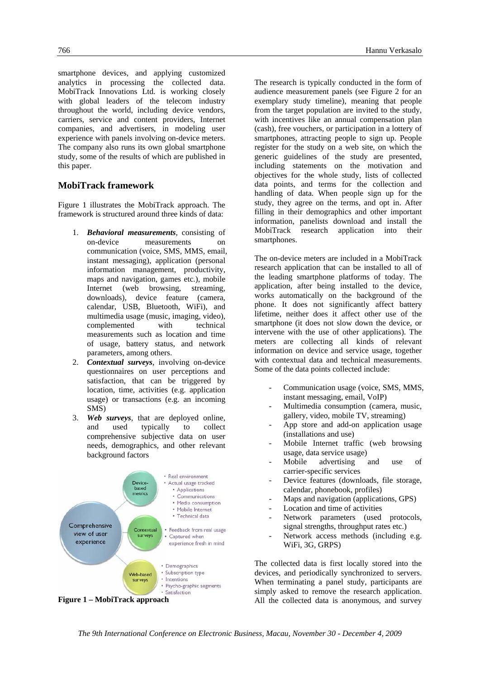smartphone devices, and applying customized analytics in processing the collected data. MobiTrack Innovations Ltd. is working closely with global leaders of the telecom industry throughout the world, including device vendors, carriers, service and content providers, Internet companies, and advertisers, in modeling user experience with panels involving on-device meters. The company also runs its own global smartphone study, some of the results of which are published in this paper.

# **MobiTrack framework**

Figure 1 illustrates the MobiTrack approach. The framework is structured around three kinds of data:

- 1. *Behavioral measurements*, consisting of on-device measurements on communication (voice, SMS, MMS, email, instant messaging), application (personal information management, productivity, maps and navigation, games etc.), mobile Internet (web browsing, streaming, downloads), device feature (camera, calendar, USB, Bluetooth, WiFi), and multimedia usage (music, imaging, video), complemented with technical measurements such as location and time of usage, battery status, and network parameters, among others.
- 2. *Contextual surveys*, involving on-device questionnaires on user perceptions and satisfaction, that can be triggered by location, time, activities (e.g. application usage) or transactions (e.g. an incoming SMS)
- 3. *Web surveys*, that are deployed online, and used typically to collect comprehensive subjective data on user needs, demographics, and other relevant background factors



**Figure 1 – MobiTrack approach** 

The research is typically conducted in the form of audience measurement panels (see Figure 2 for an exemplary study timeline), meaning that people from the target population are invited to the study, with incentives like an annual compensation plan (cash), free vouchers, or participation in a lottery of smartphones, attracting people to sign up. People register for the study on a web site, on which the generic guidelines of the study are presented, including statements on the motivation and objectives for the whole study, lists of collected data points, and terms for the collection and handling of data. When people sign up for the study, they agree on the terms, and opt in. After filling in their demographics and other important information, panelists download and install the MobiTrack research application into their smartphones.

The on-device meters are included in a MobiTrack research application that can be installed to all of the leading smartphone platforms of today. The application, after being installed to the device, works automatically on the background of the phone. It does not significantly affect battery lifetime, neither does it affect other use of the smartphone (it does not slow down the device, or intervene with the use of other applications). The meters are collecting all kinds of relevant information on device and service usage, together with contextual data and technical measurements. Some of the data points collected include:

- Communication usage (voice, SMS, MMS, instant messaging, email, VoIP)
- Multimedia consumption (camera, music, gallery, video, mobile TV, streaming)
- App store and add-on application usage (installations and use)
- Mobile Internet traffic (web browsing usage, data service usage)
- Mobile advertising and use of carrier-specific services
- Device features (downloads, file storage, calendar, phonebook, profiles)
- Maps and navigation (applications, GPS)
- Location and time of activities
- Network parameters (used protocols, signal strengths, throughput rates etc.)
- Network access methods (including e.g. WiFi, 3G, GRPS)

The collected data is first locally stored into the devices, and periodically synchronized to servers. When terminating a panel study, participants are simply asked to remove the research application. All the collected data is anonymous, and survey

*The 9th International Conference on Electronic Business, Macau, November 30 - December 4, 2009*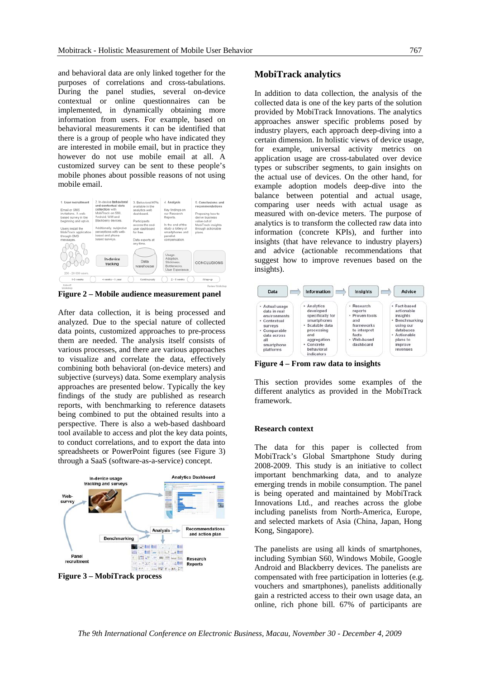and behavioral data are only linked together for the purposes of correlations and cross-tabulations. During the panel studies, several on-device contextual or online questionnaires can be implemented, in dynamically obtaining more information from users. For example, based on behavioral measurements it can be identified that there is a group of people who have indicated they are interested in mobile email, but in practice they however do not use mobile email at all. A customized survey can be sent to these people's mobile phones about possible reasons of not using mobile email.



**Figure 2 – Mobile audience measurement panel** 

After data collection, it is being processed and analyzed. Due to the special nature of collected data points, customized approaches to pre-process them are needed. The analysis itself consists of various processes, and there are various approaches to visualize and correlate the data, effectively combining both behavioral (on-device meters) and subjective (surveys) data. Some exemplary analysis approaches are presented below. Typically the key findings of the study are published as research reports, with benchmarking to reference datasets being combined to put the obtained results into a perspective. There is also a web-based dashboard tool available to access and plot the key data points, to conduct correlations, and to export the data into spreadsheets or PowerPoint figures (see Figure 3) through a SaaS (software-as-a-service) concept.



**Figure 3 – MobiTrack process** 

# **MobiTrack analytics**

In addition to data collection, the analysis of the collected data is one of the key parts of the solution provided by MobiTrack Innovations. The analytics approaches answer specific problems posed by industry players, each approach deep-diving into a certain dimension. In holistic views of device usage, for example, universal activity metrics on application usage are cross-tabulated over device types or subscriber segments, to gain insights on the actual use of devices. On the other hand, for example adoption models deep-dive into the balance between potential and actual usage, comparing user needs with actual usage as measured with on-device meters. The purpose of analytics is to transform the collected raw data into information (concrete KPIs), and further into insights (that have relevance to industry players) and advice (actionable recommendations that suggest how to improve revenues based on the insights).



**Figure 4 – From raw data to insights** 

This section provides some examples of the different analytics as provided in the MobiTrack framework.

#### **Research context**

The data for this paper is collected from MobiTrack's Global Smartphone Study during 2008-2009. This study is an initiative to collect important benchmarking data, and to analyze emerging trends in mobile consumption. The panel is being operated and maintained by MobiTrack Innovations Ltd., and reaches across the globe including panelists from North-America, Europe, and selected markets of Asia (China, Japan, Hong Kong, Singapore).

The panelists are using all kinds of smartphones, including Symbian S60, Windows Mobile, Google Android and Blackberry devices. The panelists are compensated with free participation in lotteries (e.g. vouchers and smartphones), panelists additionally gain a restricted access to their own usage data, an online, rich phone bill. 67% of participants are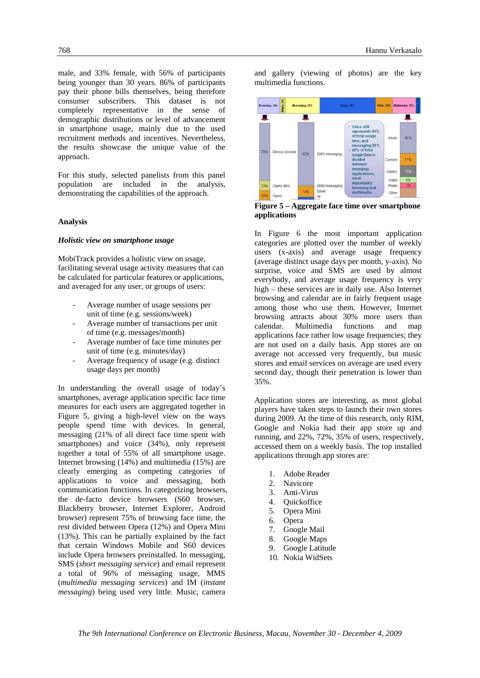male, and 33% female, with 56% of participants being younger than 30 years. 86% of participants pay their phone bills themselves, being therefore consumer subscribers. This dataset is not completely representative in the sense of demographic distributions or level of advancement in smartphone usage, mainly due to the used recruitment methods and incentives. Nevertheless, the results showcase the unique value of the approach.

For this study, selected panelists from this panel population are included in the analysis, demonstrating the capabilities of the approach.

#### **Analysis**

#### *Holistic view on smartphone usage*

MobiTrack provides a holistic view on usage, facilitating several usage activity measures that can be calculated for particular features or applications, and averaged for any user, or groups of users:

- Average number of usage sessions per unit of time (e.g. sessions/week)
- Average number of transactions per unit of time (e.g. messages/month)
- Average number of face time minutes per unit of time (e.g. minutes/day)
- Average frequency of usage (e.g. distinct usage days per month)

In understanding the overall usage of today's smartphones, average application specific face time measures for each users are aggregated together in Figure 5, giving a high-level view on the ways people spend time with devices. In general, messaging (21% of all direct face time spent with smartphones) and voice (34%), only represent together a total of 55% of all smartphone usage. Internet browsing (14%) and multimedia (15%) are clearly emerging as competing categories of applications to voice and messaging, both communication functions. In categorizing browsers, the de-facto device browsers (S60 browser, Blackberry browser, Internet Explorer, Android browser) represent 75% of browsing face time, the rest divided between Opera (12%) and Opera Mini (13%). This can be partially explained by the fact that certain Windows Mobile and S60 devices include Opera browsers preinstalled. In messaging, SMS (*short messaging service*) and email represent a total of 96% of messaging usage, MMS (*multimedia messaging services*) and IM (*instant messaging*) being used very little. Music, camera

and gallery (viewing of photos) are the key multimedia functions.



**Figure 5 – Aggregate face time over smartphone applications** 

In Figure 6 the most important application categories are plotted over the number of weekly users (x-axis) and average usage frequency (average distinct usage days per month, y-axis). No surprise, voice and SMS are used by almost everybody, and average usage frequency is very high – these services are in daily use. Also Internet browsing and calendar are in fairly frequent usage among those who use them. However, Internet browsing attracts about 30% more users than calendar. Multimedia functions and map applications face rather low usage frequencies; they are not used on a daily basis. App stores are on average not accessed very frequently, but music stores and email services on average are used every second day, though their penetration is lower than 35%.

Application stores are interesting, as most global players have taken steps to launch their own stores during 2009. At the time of this research, only RIM, Google and Nokia had their app store up and running, and 22%, 72%, 35% of users, respectively, accessed them on a weekly basis. The top installed applications through app stores are:

- 1. Adobe Reader
- 2. Navicore
- 3. Anti-Virus
- 4. Quickoffice
- 5. Opera Mini
- 6. Opera
- 7. Google Mail
- 8. Google Maps
- 9. Google Latitude
- 10. Nokia WidSets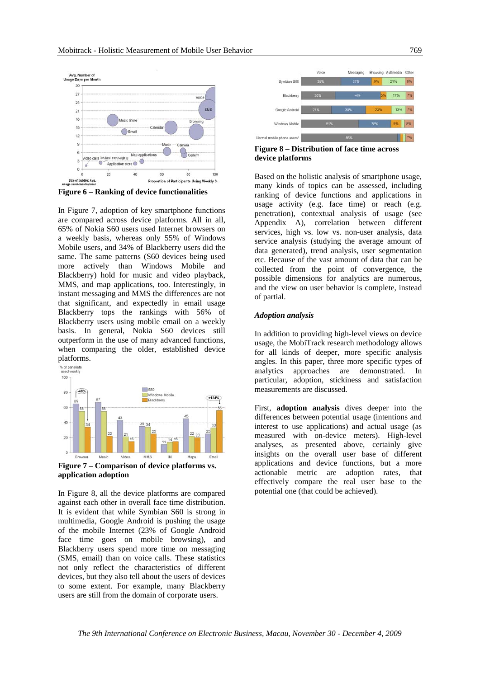

**Figure 6 – Ranking of device functionalities** 

In Figure 7, adoption of key smartphone functions are compared across device platforms. All in all, 65% of Nokia S60 users used Internet browsers on a weekly basis, whereas only 55% of Windows Mobile users, and 34% of Blackberry users did the same. The same patterns (S60 devices being used more actively than Windows Mobile and Blackberry) hold for music and video playback, MMS, and map applications, too. Interestingly, in instant messaging and MMS the differences are not that significant, and expectedly in email usage Blackberry tops the rankings with 56% of Blackberry users using mobile email on a weekly basis. In general, Nokia S60 devices still outperform in the use of many advanced functions, when comparing the older, established device platforms.



**Figure 7 – Comparison of device platforms vs. application adoption** 

In Figure 8, all the device platforms are compared against each other in overall face time distribution. It is evident that while Symbian S60 is strong in multimedia, Google Android is pushing the usage of the mobile Internet (23% of Google Android face time goes on mobile browsing), and Blackberry users spend more time on messaging (SMS, email) than on voice calls. These statistics not only reflect the characteristics of different devices, but they also tell about the users of devices to some extent. For example, many Blackberry users are still from the domain of corporate users.



**Figure 8 – Distribution of face time across device platforms** 

Based on the holistic analysis of smartphone usage, many kinds of topics can be assessed, including ranking of device functions and applications in usage activity (e.g. face time) or reach (e.g. penetration), contextual analysis of usage (see Appendix A), correlation between different services, high vs. low vs. non-user analysis, data service analysis (studying the average amount of data generated), trend analysis, user segmentation etc. Because of the vast amount of data that can be collected from the point of convergence, the possible dimensions for analytics are numerous, and the view on user behavior is complete, instead of partial.

#### *Adoption analysis*

In addition to providing high-level views on device usage, the MobiTrack research methodology allows for all kinds of deeper, more specific analysis angles. In this paper, three more specific types of analytics approaches are demonstrated. In particular, adoption, stickiness and satisfaction measurements are discussed.

First, **adoption analysis** dives deeper into the differences between potential usage (intentions and interest to use applications) and actual usage (as measured with on-device meters). High-level analyses, as presented above, certainly give insights on the overall user base of different applications and device functions, but a more actionable metric are adoption rates, that effectively compare the real user base to the potential one (that could be achieved).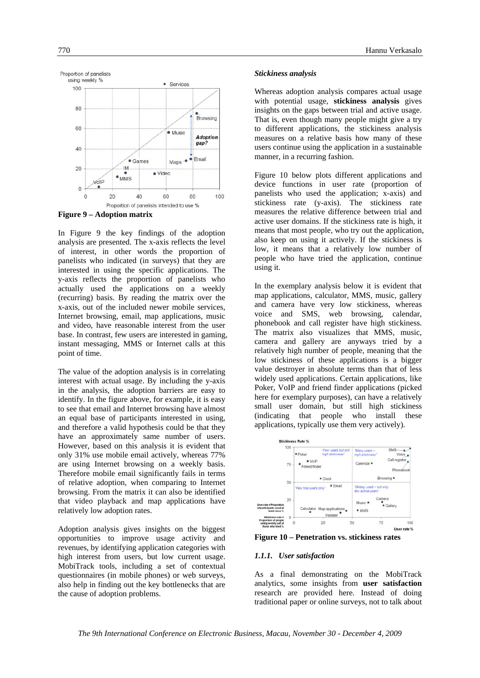

**Figure 9 – Adoption matrix** 

In Figure 9 the key findings of the adoption analysis are presented. The x-axis reflects the level of interest, in other words the proportion of panelists who indicated (in surveys) that they are interested in using the specific applications. The y-axis reflects the proportion of panelists who actually used the applications on a weekly (recurring) basis. By reading the matrix over the x-axis, out of the included newer mobile services, Internet browsing, email, map applications, music and video, have reasonable interest from the user base. In contrast, few users are interested in gaming, instant messaging, MMS or Internet calls at this point of time.

The value of the adoption analysis is in correlating interest with actual usage. By including the y-axis in the analysis, the adoption barriers are easy to identify. In the figure above, for example, it is easy to see that email and Internet browsing have almost an equal base of participants interested in using, and therefore a valid hypothesis could be that they have an approximately same number of users. However, based on this analysis it is evident that only 31% use mobile email actively, whereas 77% are using Internet browsing on a weekly basis. Therefore mobile email significantly fails in terms of relative adoption, when comparing to Internet browsing. From the matrix it can also be identified that video playback and map applications have relatively low adoption rates.

Adoption analysis gives insights on the biggest opportunities to improve usage activity and revenues, by identifying application categories with high interest from users, but low current usage. MobiTrack tools, including a set of contextual questionnaires (in mobile phones) or web surveys, also help in finding out the key bottlenecks that are the cause of adoption problems.

#### *Stickiness analysis*

Whereas adoption analysis compares actual usage with potential usage, **stickiness analysis** gives insights on the gaps between trial and active usage. That is, even though many people might give a try to different applications, the stickiness analysis measures on a relative basis how many of these users continue using the application in a sustainable manner, in a recurring fashion.

Figure 10 below plots different applications and device functions in user rate (proportion of panelists who used the application; x-axis) and stickiness rate (y-axis). The stickiness rate measures the relative difference between trial and active user domains. If the stickiness rate is high, it means that most people, who try out the application, also keep on using it actively. If the stickiness is low, it means that a relatively low number of people who have tried the application, continue using it.

In the exemplary analysis below it is evident that map applications, calculator, MMS, music, gallery and camera have very low stickiness, whereas voice and SMS, web browsing, calendar, phonebook and call register have high stickiness. The matrix also visualizes that MMS, music, camera and gallery are anyways tried by a relatively high number of people, meaning that the low stickiness of these applications is a bigger value destroyer in absolute terms than that of less widely used applications. Certain applications, like Poker, VoIP and friend finder applications (picked here for exemplary purposes), can have a relatively small user domain, but still high stickiness (indicating that people who install these applications, typically use them very actively).



**Figure 10 – Penetration vs. stickiness rates** 

### *1.1.1. User satisfaction*

As a final demonstrating on the MobiTrack analytics, some insights from **user satisfaction** research are provided here. Instead of doing traditional paper or online surveys, not to talk about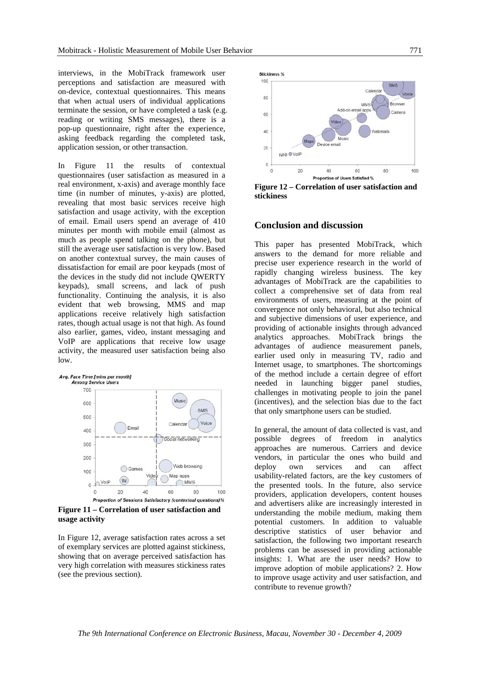interviews, in the MobiTrack framework user perceptions and satisfaction are measured with on-device, contextual questionnaires. This means that when actual users of individual applications terminate the session, or have completed a task (e.g. reading or writing SMS messages), there is a pop-up questionnaire, right after the experience, asking feedback regarding the completed task, application session, or other transaction.

In Figure 11 the results of contextual questionnaires (user satisfaction as measured in a real environment, x-axis) and average monthly face time (in number of minutes, y-axis) are plotted, revealing that most basic services receive high satisfaction and usage activity, with the exception of email. Email users spend an average of 410 minutes per month with mobile email (almost as much as people spend talking on the phone), but still the average user satisfaction is very low. Based on another contextual survey, the main causes of dissatisfaction for email are poor keypads (most of the devices in the study did not include QWERTY keypads), small screens, and lack of push functionality. Continuing the analysis, it is also evident that web browsing, MMS and map applications receive relatively high satisfaction rates, though actual usage is not that high. As found also earlier, games, video, instant messaging and VoIP are applications that receive low usage activity, the measured user satisfaction being also low.



**Figure 11 – Correlation of user satisfaction and usage activity** 

In Figure 12, average satisfaction rates across a set of exemplary services are plotted against stickiness, showing that on average perceived satisfaction has very high correlation with measures stickiness rates (see the previous section).



**Figure 12 – Correlation of user satisfaction and stickiness** 

# **Conclusion and discussion**

This paper has presented MobiTrack, which answers to the demand for more reliable and precise user experience research in the world of rapidly changing wireless business. The key advantages of MobiTrack are the capabilities to collect a comprehensive set of data from real environments of users, measuring at the point of convergence not only behavioral, but also technical and subjective dimensions of user experience, and providing of actionable insights through advanced analytics approaches. MobiTrack brings the advantages of audience measurement panels, earlier used only in measuring TV, radio and Internet usage, to smartphones. The shortcomings of the method include a certain degree of effort needed in launching bigger panel studies, challenges in motivating people to join the panel (incentives), and the selection bias due to the fact that only smartphone users can be studied.

In general, the amount of data collected is vast, and possible degrees of freedom in analytics approaches are numerous. Carriers and device vendors, in particular the ones who build and deploy own services and can affect usability-related factors, are the key customers of the presented tools. In the future, also service providers, application developers, content houses and advertisers alike are increasingly interested in understanding the mobile medium, making them potential customers. In addition to valuable descriptive statistics of user behavior and satisfaction, the following two important research problems can be assessed in providing actionable insights: 1. What are the user needs? How to improve adoption of mobile applications? 2. How to improve usage activity and user satisfaction, and contribute to revenue growth?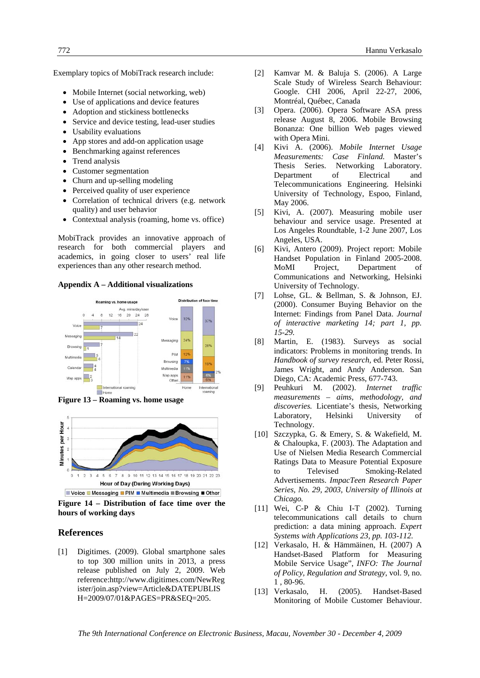Exemplary topics of MobiTrack research include:

- Mobile Internet (social networking, web)
- Use of applications and device features
- Adoption and stickiness bottlenecks
- Service and device testing, lead-user studies
- Usability evaluations
- App stores and add-on application usage
- Benchmarking against references
- Trend analysis
- Customer segmentation
- Churn and up-selling modeling
- Perceived quality of user experience
- Correlation of technical drivers (e.g. network quality) and user behavior
- Contextual analysis (roaming, home vs. office)

MobiTrack provides an innovative approach of research for both commercial players and academics, in going closer to users' real life experiences than any other research method.

#### **Appendix A – Additional visualizations**







**Figure 14 – Distribution of face time over the hours of working days**

## **References**

[1] Digitimes. (2009). Global smartphone sales to top 300 million units in 2013, a press release published on July 2, 2009. Web reference:http://www.digitimes.com/NewReg ister/join.asp?view=Article&DATEPUBLIS H=2009/07/01&PAGES=PR&SEQ=205.

- [2] Kamvar M. & Baluja S. (2006). A Large Scale Study of Wireless Search Behaviour: Google. CHI 2006, April 22-27, 2006, Montréal, Québec, Canada
- [3] Opera. (2006). Opera Software ASA press release August 8, 2006. Mobile Browsing Bonanza: One billion Web pages viewed with Opera Mini.
- [4] Kivi A. (2006). *Mobile Internet Usage Measurements: Case Finland.* Master's Thesis Series. Networking Laboratory. Department of Electrical and Telecommunications Engineering. Helsinki University of Technology, Espoo, Finland, May 2006.
- [5] Kivi, A. (2007). Measuring mobile user behaviour and service usage. Presented at Los Angeles Roundtable, 1-2 June 2007, Los Angeles, USA.
- [6] Kivi, Antero (2009). Project report: Mobile Handset Population in Finland 2005-2008. MoMI Project, Department of Communications and Networking, Helsinki University of Technology.
- [7] Lohse, GL. & Bellman, S. & Johnson, EJ. (2000). Consumer Buying Behavior on the Internet: Findings from Panel Data. *Journal of interactive marketing 14; part 1, pp. 15-29.*
- [8] Martin, E. (1983). Surveys as social indicators: Problems in monitoring trends. In *Handbook of survey research,* ed. Peter Rossi, James Wright, and Andy Anderson. San Diego, CA: Academic Press, 677-743.
- [9] Peuhkuri M. (2002). *Internet traffic measurements – aims, methodology, and discoveries.* Licentiate's thesis, Networking Laboratory, Helsinki University of Technology.
- [10] Szczypka, G. & Emery, S. & Wakefield, M. & Chaloupka, F. (2003). The Adaptation and Use of Nielsen Media Research Commercial Ratings Data to Measure Potential Exposure to Televised Smoking-Related Advertisements. *ImpacTeen Research Paper Series, No. 29, 2003, University of Illinois at Chicago.*
- [11] Wei, C-P & Chiu I-T (2002). Turning telecommunications call details to churn prediction: a data mining approach. *Expert Systems with Applications 23, pp. 103-112.*
- [12] Verkasalo, H. & Hämmäinen, H. (2007) A Handset-Based Platform for Measuring Mobile Service Usage", *INFO: The Journal of Policy, Regulation and Strategy*, vol. 9, no. 1 , 80-96.
- [13] Verkasalo, H. (2005). Handset-Based Monitoring of Mobile Customer Behaviour.